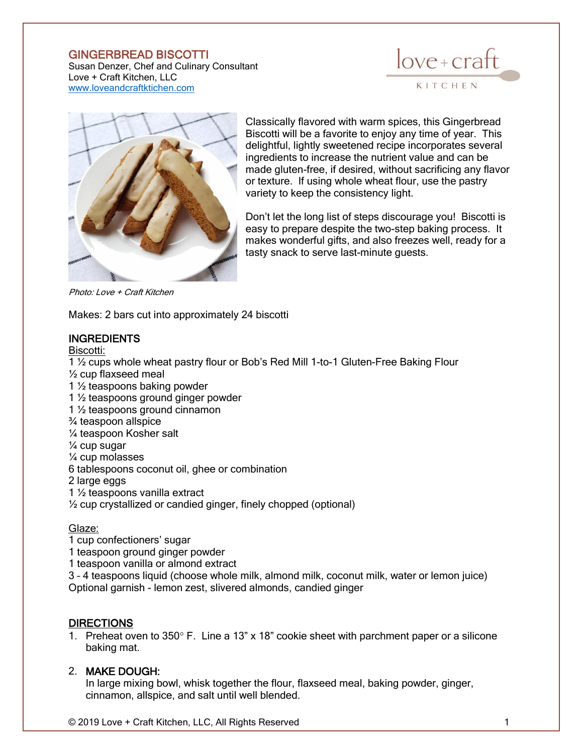# GINGERBREAD BISCOTTI

Susan Denzer, Chef and Culinary Consultant Love + Craft Kitchen, LLC [www.loveandcraftktichen.com](http://www.loveandcraftktichen.com/)





Classically flavored with warm spices, this Gingerbread Biscotti will be a favorite to enjoy any time of year. This delightful, lightly sweetened recipe incorporates several ingredients to increase the nutrient value and can be made gluten-free, if desired, without sacrificing any flavor or texture. If using whole wheat flour, use the pastry variety to keep the consistency light.

Don't let the long list of steps discourage you! Biscotti is easy to prepare despite the two-step baking process. It makes wonderful gifts, and also freezes well, ready for a tasty snack to serve last-minute guests.

Photo: Love + Craft Kitchen

Makes: 2 bars cut into approximately 24 biscotti

# **INGREDIENTS**

Biscotti:

1 ½ cups whole wheat pastry flour or Bob's Red Mill 1-to-1 Gluten-Free Baking Flour ½ cup flaxseed meal

- 1 ½ teaspoons baking powder
- 1 ½ teaspoons ground ginger powder
- 1 ½ teaspoons ground cinnamon
- ¾ teaspoon allspice
- ¼ teaspoon Kosher salt
- ¼ cup sugar
- ¼ cup molasses
- 6 tablespoons coconut oil, ghee or combination
- 2 large eggs
- 1 ½ teaspoons vanilla extract
- ½ cup crystallized or candied ginger, finely chopped (optional)

# Glaze:

- 1 cup confectioners' sugar
- 1 teaspoon ground ginger powder
- 1 teaspoon vanilla or almond extract
- 3 4 teaspoons liquid (choose whole milk, almond milk, coconut milk, water or lemon juice) Optional garnish - lemon zest, slivered almonds, candied ginger

# DIRECTIONS

1. Preheat oven to  $350^{\circ}$  F. Line a 13" x 18" cookie sheet with parchment paper or a silicone baking mat.

# 2. MAKE DOUGH:

In large mixing bowl, whisk together the flour, flaxseed meal, baking powder, ginger, cinnamon, allspice, and salt until well blended.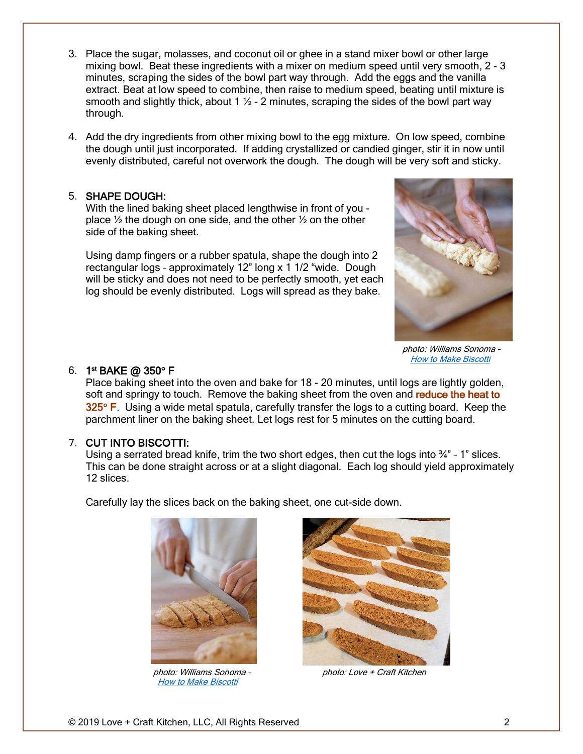- 3. Place the sugar, molasses, and coconut oil or ghee in a stand mixer bowl or other large mixing bowl. Beat these ingredients with a mixer on medium speed until very smooth, 2 - 3 minutes, scraping the sides of the bowl part way through. Add the eggs and the vanilla extract. Beat at low speed to combine, then raise to medium speed, beating until mixture is smooth and slightly thick, about 1  $\frac{1}{2}$  - 2 minutes, scraping the sides of the bowl part way through.
- 4. Add the dry ingredients from other mixing bowl to the egg mixture. On low speed, combine the dough until just incorporated. If adding crystallized or candied ginger, stir it in now until evenly distributed, careful not overwork the dough. The dough will be very soft and sticky.

# 5. SHAPE DOUGH:

With the lined baking sheet placed lengthwise in front of you place  $\frac{1}{2}$  the dough on one side, and the other  $\frac{1}{2}$  on the other side of the baking sheet.

Using damp fingers or a rubber spatula, shape the dough into 2 rectangular logs – approximately 12" long x 1 1/2 "wide. Dough will be sticky and does not need to be perfectly smooth, yet each log should be evenly distributed. Logs will spread as they bake.



 photo: Williams Sonoma – **[How to Make Biscotti](https://blog.williams-sonoma.com/how-to-make-biscotti/)** 

#### 6. 1st **BAKE @ 350° F**

Place baking sheet into the oven and bake for 18 - 20 minutes, until logs are lightly golden, soft and springy to touch. Remove the baking sheet from the oven and reduce the heat to  $325^{\circ}$  F. Using a wide metal spatula, carefully transfer the logs to a cutting board. Keep the parchment liner on the baking sheet. Let logs rest for 5 minutes on the cutting board.

### 7. CUT INTO BISCOTTI:

Using a serrated bread knife, trim the two short edges, then cut the logs into  $\frac{3}{4}$ " - 1" slices. This can be done straight across or at a slight diagonal. Each log should yield approximately 12 slices.

Carefully lay the slices back on the baking sheet, one cut-side down.



[How to Make Biscotti](https://blog.williams-sonoma.com/how-to-make-biscotti/)



photo: Williams Sonoma – photo: Love <sup>+</sup> Craft Kitchen